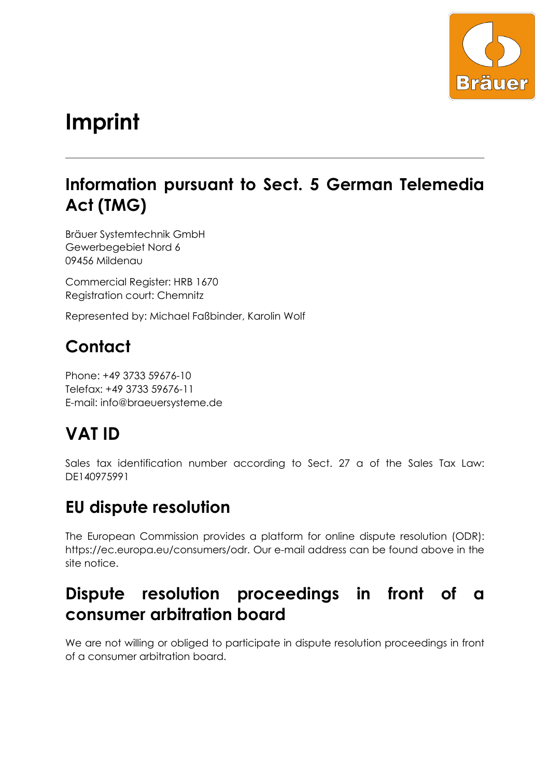

# **Imprint**

#### **Information pursuant to Sect. 5 German Telemedia Act (TMG)**

Bräuer Systemtechnik GmbH Gewerbegebiet Nord 6 09456 Mildenau

Commercial Register: HRB 1670 Registration court: Chemnitz

Represented by: Michael Faßbinder, Karolin Wolf

#### **Contact**

Phone: +49 3733 59676-10 Telefax: +49 3733 59676-11 E-mail: info@braeuersysteme.de

# **VAT ID**

Sales tax identification number according to Sect. 27 a of the Sales Tax Law: DE140975991

#### **EU dispute resolution**

The European Commission provides a platform for online dispute resolution (ODR): https://ec.europa.eu/consumers/odr. Our e-mail address can be found above in the site notice.

#### **Dispute resolution proceedings in front of a consumer arbitration board**

We are not willing or obliged to participate in dispute resolution proceedings in front of a consumer arbitration board.